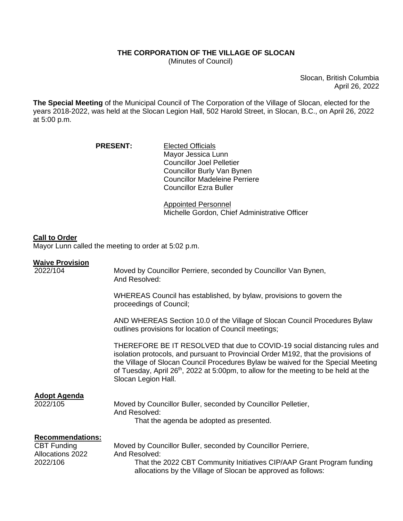## **THE CORPORATION OF THE VILLAGE OF SLOCAN**

(Minutes of Council)

Slocan, British Columbia April 26, 2022

**The Special Meeting** of the Municipal Council of The Corporation of the Village of Slocan, elected for the years 2018-2022, was held at the Slocan Legion Hall, 502 Harold Street, in Slocan, B.C., on April 26, 2022 at 5:00 p.m.

| <b>PRESENT:</b> | <b>Elected Officials</b>             |
|-----------------|--------------------------------------|
|                 | Mayor Jessica Lunn                   |
|                 | <b>Councillor Joel Pelletier</b>     |
|                 | Councillor Burly Van Bynen           |
|                 | <b>Councillor Madeleine Perriere</b> |
|                 | <b>Councillor Ezra Buller</b>        |

Appointed Personnel Michelle Gordon, Chief Administrative Officer

## **Call to Order**

Mayor Lunn called the meeting to order at 5:02 p.m.

## **Waive Provision**

| 2022/104                                                                      | Moved by Councillor Perriere, seconded by Councillor Van Bynen,<br>And Resolved:                                                                                                                                                                                                                                                                                    |
|-------------------------------------------------------------------------------|---------------------------------------------------------------------------------------------------------------------------------------------------------------------------------------------------------------------------------------------------------------------------------------------------------------------------------------------------------------------|
|                                                                               | WHEREAS Council has established, by bylaw, provisions to govern the<br>proceedings of Council;                                                                                                                                                                                                                                                                      |
|                                                                               | AND WHEREAS Section 10.0 of the Village of Slocan Council Procedures Bylaw<br>outlines provisions for location of Council meetings;                                                                                                                                                                                                                                 |
|                                                                               | THEREFORE BE IT RESOLVED that due to COVID-19 social distancing rules and<br>isolation protocols, and pursuant to Provincial Order M192, that the provisions of<br>the Village of Slocan Council Procedures Bylaw be waived for the Special Meeting<br>of Tuesday, April $26th$ , 2022 at 5:00pm, to allow for the meeting to be held at the<br>Slocan Legion Hall. |
| <b>Adopt Agenda</b><br>2022/105                                               | Moved by Councillor Buller, seconded by Councillor Pelletier,<br>And Resolved:<br>That the agenda be adopted as presented.                                                                                                                                                                                                                                          |
| <b>Recommendations:</b><br><b>CBT Funding</b><br>Allocations 2022<br>2022/106 | Moved by Councillor Buller, seconded by Councillor Perriere,<br>And Resolved:<br>That the 2022 CBT Community Initiatives CIP/AAP Grant Program funding<br>allocations by the Village of Slocan be approved as follows:                                                                                                                                              |